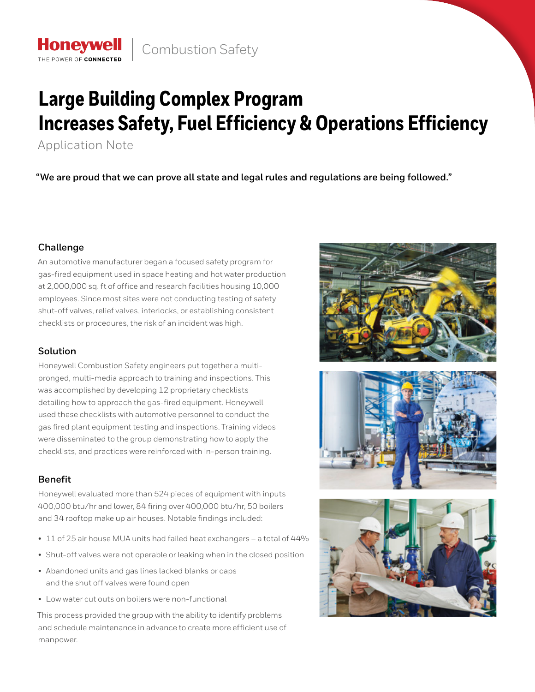# **Large Building Complex Program Increases Safety, Fuel Efficiency & Operations Efficiency**

Application Note

**Honeywell** THE POWER OF CONNECTE

**"We are proud that we can prove all state and legal rules and regulations are being followed."**

## **Challenge**

An automotive manufacturer began a focused safety program for gas-fired equipment used in space heating and hot water production at 2,000,000 sq. ft of office and research facilities housing 10,000 employees. Since most sites were not conducting testing of safety shut-off valves, relief valves, interlocks, or establishing consistent checklists or procedures, the risk of an incident was high.

# **Solution**

Honeywell Combustion Safety engineers put together a multipronged, multi-media approach to training and inspections. This was accomplished by developing 12 proprietary checklists detailing how to approach the gas-fired equipment. Honeywell used these checklists with automotive personnel to conduct the gas fired plant equipment testing and inspections. Training videos were disseminated to the group demonstrating how to apply the checklists, and practices were reinforced with in-person training.

# **Benefit**

Honeywell evaluated more than 524 pieces of equipment with inputs 400,000 btu/hr and lower, 84 firing over 400,000 btu/hr, 50 boilers and 34 rooftop make up air houses. Notable findings included:

- 11 of 25 air house MUA units had failed heat exchangers a total of 44%
- Shut-off valves were not operable or leaking when in the closed position
- Abandoned units and gas lines lacked blanks or caps and the shut off valves were found open
- Low water cut outs on boilers were non-functional

This process provided the group with the ability to identify problems and schedule maintenance in advance to create more efficient use of manpower.